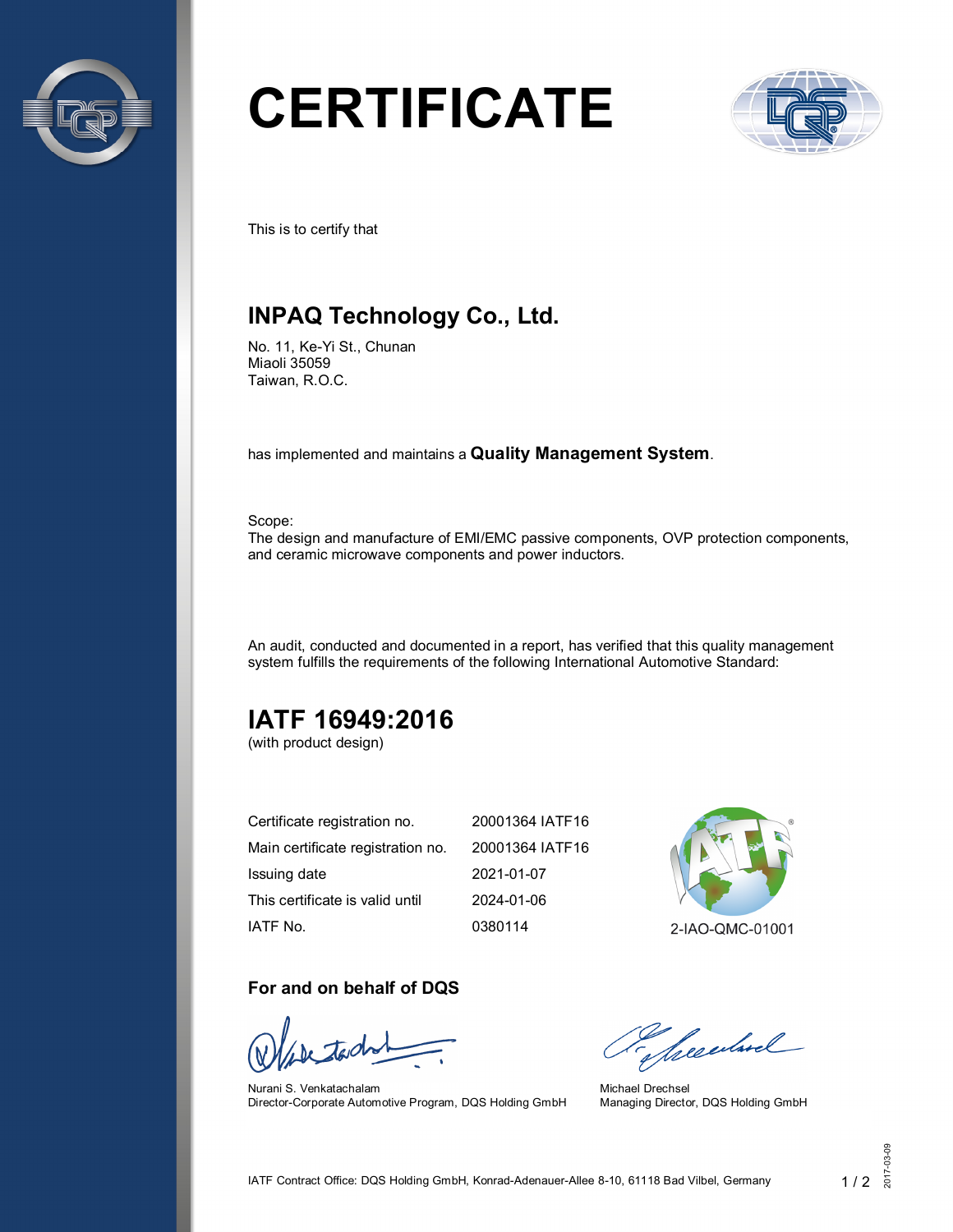

# **CERTIFICATE**



This is to certify that

## **INPAQ Technology Co., Ltd.**

No. 11, Ke-Yi St., Chunan Miaoli 35059 Taiwan, R.O.C.

has implemented and maintains a **Quality Management System**.

Scope:

The design and manufacture of EMI/EMC passive components, OVP protection components, and ceramic microwave components and power inductors.

An audit, conducted and documented in a report, has verified that this quality management system fulfills the requirements of the following International Automotive Standard:

# **IATF 16949:2016**

(with product design)

| Certificate registration no.      | 20001364 IATF16 |
|-----------------------------------|-----------------|
| Main certificate registration no. | 20001364 IATF16 |
| Issuing date                      | 2021-01-07      |
| This certificate is valid until   | 2024-01-06      |
| IATF No.                          | 0380114         |

2-IAO-QMC-01001

#### **For and on behalf of DQS**

Nurani S. Venkatachalam Director-Corporate Automotive Program, DQS Holding GmbH

Sheedwel

Michael Drechsel Managing Director, DQS Holding GmbH